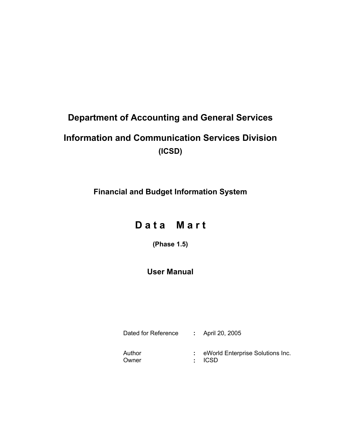# **Department of Accounting and General Services**

# **Information and Communication Services Division (ICSD)**

**Financial and Budget Information System** 

# D a t a M a r t

**(Phase 1.5)** 

# **User Manual**

Dated for Reference **:** April 20, 2005 Author **: eWorld Enterprise Solutions Inc.** Owner **:** ICSD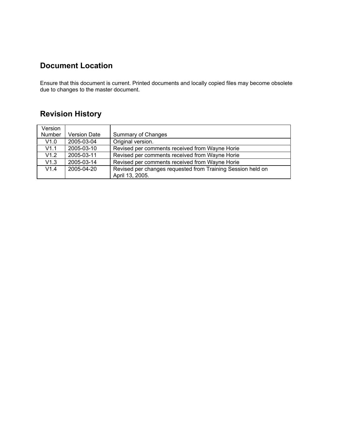# **Document Location**

Ensure that this document is current. Printed documents and locally copied files may become obsolete due to changes to the master document.

# **Revision History**

| Version |                     |                                                             |
|---------|---------------------|-------------------------------------------------------------|
| Number  | <b>Version Date</b> | <b>Summary of Changes</b>                                   |
| V1.0    | 2005-03-04          | Original version.                                           |
| V1.1    | 2005-03-10          | Revised per comments received from Wayne Horie              |
| V1.2    | 2005-03-11          | Revised per comments received from Wayne Horie              |
| V1.3    | 2005-03-14          | Revised per comments received from Wayne Horie              |
| V1.4    | 2005-04-20          | Revised per changes requested from Training Session held on |
|         |                     | April 13, 2005.                                             |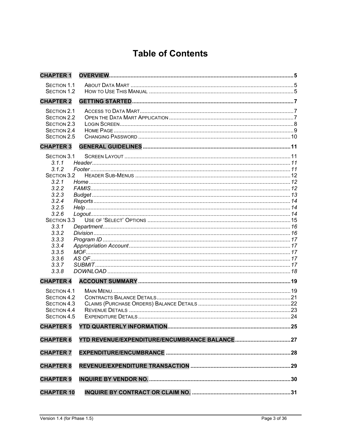# **Table of Contents**

| <b>CHAPTER 1</b>                  | <b>OVERVIEW</b> |  |
|-----------------------------------|-----------------|--|
| <b>SECTION 1.1</b>                |                 |  |
| <b>SECTION 1.2</b>                |                 |  |
| <b>CHAPTER 2</b>                  |                 |  |
| SECTION 2.1                       |                 |  |
| <b>SECTION 2.2</b><br>SECTION 2.3 |                 |  |
| SECTION 2.4                       |                 |  |
| SECTION 2.5                       |                 |  |
| <b>CHAPTER 3</b>                  |                 |  |
| SECTION 3.1                       |                 |  |
| 3.1.1                             |                 |  |
| 3.1.2                             |                 |  |
| SECTION 3.2                       |                 |  |
| 3.2.1                             |                 |  |
| 3.2.2                             |                 |  |
| 3.2.3<br>3.2.4                    |                 |  |
| 3.2.5                             |                 |  |
| 3.2.6                             |                 |  |
| SECTION 3.3                       |                 |  |
| 3.3.1                             |                 |  |
| 3.3.2                             |                 |  |
| 3.3.3                             |                 |  |
| 3.3.4                             |                 |  |
| 3.3.5<br>3.3.6                    |                 |  |
| 3.3.7                             |                 |  |
| 3.3.8                             |                 |  |
| <b>CHAPTER 4</b>                  |                 |  |
| SECTION 4.1                       |                 |  |
| SECTION 4.2                       |                 |  |
| SECTION 4.3                       |                 |  |
| SECTION 4.4                       |                 |  |
| <b>SECTION 4.5</b>                |                 |  |
| <b>CHAPTER 5</b>                  |                 |  |
| <b>CHAPTER 6</b>                  |                 |  |
| <b>CHAPTER 7</b>                  |                 |  |
| <b>CHAPTER 8</b>                  |                 |  |
|                                   |                 |  |
| <b>CHAPTER 9</b>                  |                 |  |
| <b>CHAPTER 10</b>                 |                 |  |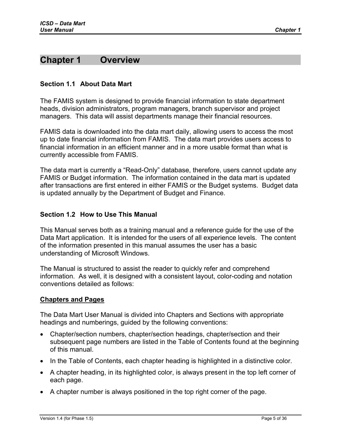# <span id="page-4-0"></span>**Chapter 1 Overview**

#### **Section 1.1 About Data Mart**

The FAMIS system is designed to provide financial information to state department heads, division administrators, program managers, branch supervisor and project managers. This data will assist departments manage their financial resources.

FAMIS data is downloaded into the data mart daily, allowing users to access the most up to date financial information from FAMIS. The data mart provides users access to financial information in an efficient manner and in a more usable format than what is currently accessible from FAMIS.

The data mart is currently a "Read-Only" database, therefore, users cannot update any FAMIS or Budget information. The information contained in the data mart is updated after transactions are first entered in either FAMIS or the Budget systems. Budget data is updated annually by the Department of Budget and Finance.

#### **Section 1.2 How to Use This Manual**

This Manual serves both as a training manual and a reference guide for the use of the Data Mart application. It is intended for the users of all experience levels. The content of the information presented in this manual assumes the user has a basic understanding of Microsoft Windows.

The Manual is structured to assist the reader to quickly refer and comprehend information. As well, it is designed with a consistent layout, color-coding and notation conventions detailed as follows:

#### **Chapters and Pages**

The Data Mart User Manual is divided into Chapters and Sections with appropriate headings and numberings, guided by the following conventions:

- Chapter/section numbers, chapter/section headings, chapter/section and their subsequent page numbers are listed in the Table of Contents found at the beginning of this manual.
- In the Table of Contents, each chapter heading is highlighted in a distinctive color.
- A chapter heading, in its highlighted color, is always present in the top left corner of each page.
- A chapter number is always positioned in the top right corner of the page.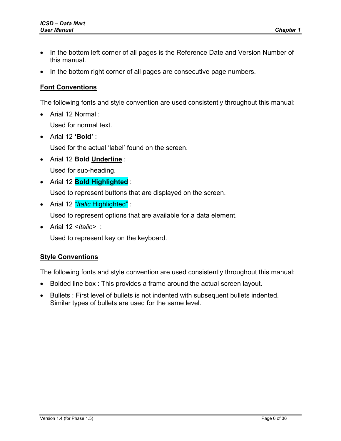- In the bottom left corner of all pages is the Reference Date and Version Number of this manual.
- In the bottom right corner of all pages are consecutive page numbers.

### **Font Conventions**

The following fonts and style convention are used consistently throughout this manual:

- Arial 12 Normal : Used for normal text.
- Arial 12 **'Bold'** : Used for the actual 'label' found on the screen.
- Arial 12 **Bold Underline** : Used for sub-heading.
- Arial 12 **Bold Highlighted** :

Used to represent buttons that are displayed on the screen.

• Arial 12 *"Italic* Highlighted" :

Used to represent options that are available for a data element.

• Arial 12 <*Italic>* :

Used to represent key on the keyboard.

### **Style Conventions**

The following fonts and style convention are used consistently throughout this manual:

- Bolded line box : This provides a frame around the actual screen layout.
- Bullets : First level of bullets is not indented with subsequent bullets indented. Similar types of bullets are used for the same level.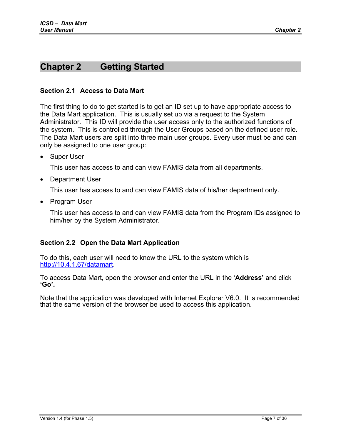# <span id="page-6-0"></span>**Chapter 2 Getting Started**

#### **Section 2.1 Access to Data Mart**

The first thing to do to get started is to get an ID set up to have appropriate access to the Data Mart application. This is usually set up via a request to the System Administrator. This ID will provide the user access only to the authorized functions of the system. This is controlled through the User Groups based on the defined user role. The Data Mart users are split into three main user groups. Every user must be and can only be assigned to one user group:

• Super User

This user has access to and can view FAMIS data from all departments.

• Department User

This user has access to and can view FAMIS data of his/her department only.

• Program User

This user has access to and can view FAMIS data from the Program IDs assigned to him/her by the System Administrator.

### **Section 2.2 Open the Data Mart Application**

To do this, each user will need to know the URL to the system which is [http://10.4.1.67/datamart.](http://10.4.1.67/datamart)

To access Data Mart, open the browser and enter the URL in the '**Address'** and click **'Go'.**

Note that the application was developed with Internet Explorer V6.0. It is recommended that the same version of the browser be used to access this application.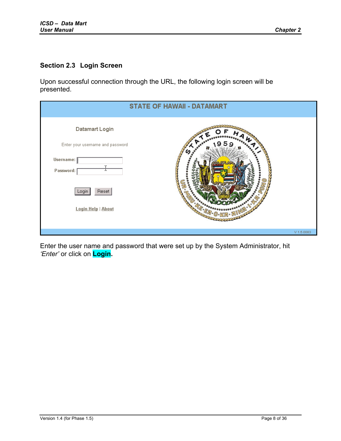### <span id="page-7-0"></span>**Section 2.3 Login Screen**

Upon successful connection through the URL, the following login screen will be presented.

|                                                                                                                        | <b>STATE OF HAWAII - DATAMART</b> |
|------------------------------------------------------------------------------------------------------------------------|-----------------------------------|
| Datamart Login<br>Enter your username and password<br>Username: [<br>Password:<br>Reset<br>Login<br>Login Help   About |                                   |
|                                                                                                                        | $V$ 1.5,0083                      |

Enter the user name and password that were set up by the System Administrator, hit *'Enter'* or click on **Login.**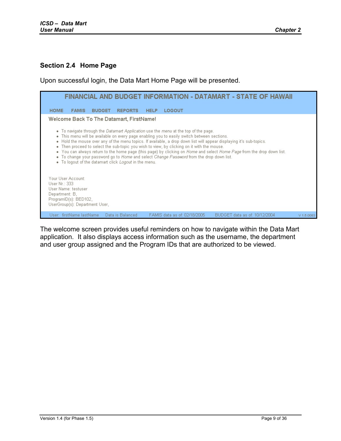#### <span id="page-8-0"></span>**Section 2.4 Home Page**

Upon successful login, the Data Mart Home Page will be presented.



The welcome screen provides useful reminders on how to navigate within the Data Mart application. It also displays access information such as the username, the department and user group assigned and the Program IDs that are authorized to be viewed.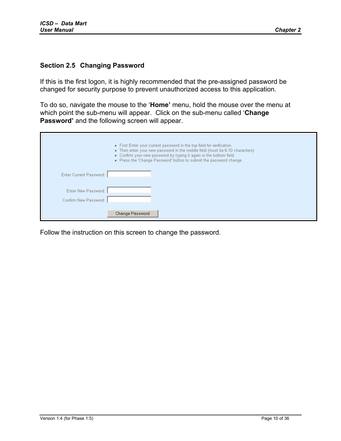#### <span id="page-9-0"></span>**Section 2.5 Changing Password**

If this is the first logon, it is highly recommended that the pre-assigned password be changed for security purpose to prevent unauthorized access to this application.

To do so, navigate the mouse to the '**Home'** menu, hold the mouse over the menu at which point the sub-menu will appear. Click on the sub-menu called '**Change Password'** and the following screen will appear.

|                         | • First Enter your current password in the top field for verification.<br>• Then enter your new password in the middle field (must be 6-10 characters)<br>• Confirm your new password by typing it again in the bottom field.<br>• Press the 'Change Password' button to submit the password change. |
|-------------------------|------------------------------------------------------------------------------------------------------------------------------------------------------------------------------------------------------------------------------------------------------------------------------------------------------|
| Enter Current Password: |                                                                                                                                                                                                                                                                                                      |
| Enter New Password:     |                                                                                                                                                                                                                                                                                                      |
| Confirm New Password:   |                                                                                                                                                                                                                                                                                                      |
|                         | Change Password                                                                                                                                                                                                                                                                                      |

Follow the instruction on this screen to change the password.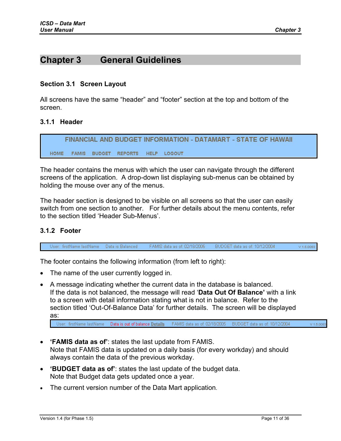# <span id="page-10-0"></span>**Chapter 3 General Guidelines**

#### **Section 3.1 Screen Layout**

All screens have the same "header" and "footer" section at the top and bottom of the screen.

#### **3.1.1 Header**

FINANCIAL AND BUDGET INFORMATION - DATAMART - STATE OF HAWAII **HOME** FAMIS BUDGET REPORTS HELP LOGOUT

The header contains the menus with which the user can navigate through the different screens of the application. A drop-down list displaying sub-menus can be obtained by holding the mouse over any of the menus.

The header section is designed to be visible on all screens so that the user can easily switch from one section to another. For further details about the menu contents, refer to the section titled 'Header Sub-Menus'.

#### **3.1.2 Footer**

User: firstName lastName Data is Balanced FAMIS data as of: 02/18/2005 BUDGET data as of: 10/12/2004 V 1.5.0083

The footer contains the following information (from left to right):

- The name of the user currently logged in.
- A message indicating whether the current data in the database is balanced. If the data is not balanced, the message will read '**Data Out Of Balance'** with a link to a screen with detail information stating what is not in balance. Refer to the section titled 'Out-Of-Balance Data' for further details. The screen will be displayed as:

```
User: firstName lastName Data is out of balance Details FAMIS data as of: 02/18/2005 BUDGET data as of: 10/12/2004
                                                                                                                   V 1.5,0083
```
- **'FAMIS data as of'**: states the last update from FAMIS. Note that FAMIS data is updated on a daily basis (for every workday) and should always contain the data of the previous workday.
- **'BUDGET data as of'**: states the last update of the budget data. Note that Budget data gets updated once a year.
- The current version number of the Data Mart application.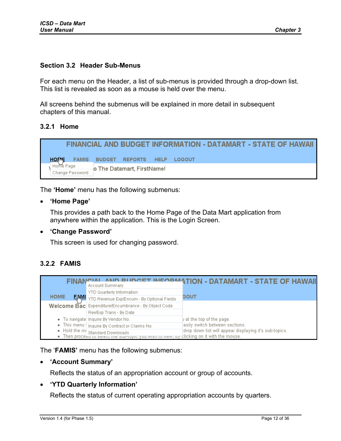#### <span id="page-11-0"></span>**Section 3.2 Header Sub-Menus**

For each menu on the Header, a list of sub-menus is provided through a drop-down list. This list is revealed as soon as a mouse is held over the menu.

All screens behind the submenus will be explained in more detail in subsequent chapters of this manual.

#### **3.2.1 Home**



The **'Home'** menu has the following submenus:

• **'Home Page'**

This provides a path back to the Home Page of the Data Mart application from anywhere within the application. This is the Login Screen.

#### • **'Change Password'**

This screen is used for changing password.

#### **3.2.2 FAMIS**

| FINAI       | Account Summary                                                                                                                                                                          | <b>DUDGET INFORMATION - DATAMART - STATE OF HAWAII</b>                                   |
|-------------|------------------------------------------------------------------------------------------------------------------------------------------------------------------------------------------|------------------------------------------------------------------------------------------|
| <b>HOME</b> | YTD Quarterly Information<br><b>EMMI</b> YTD Revenue Exp/Encum - By Optional Fields                                                                                                      | GOUT                                                                                     |
|             | Welcome Bac Expenditure/Encumbrance - By Object Code<br>Rev/Exp Trans - By Date                                                                                                          |                                                                                          |
|             | • To navigate Inquire By Vendor No.                                                                                                                                                      | $\mu$ at the top of the page.                                                            |
|             | . This menu   Inquire By Contract or Claims No.<br>$\bullet$ Hold the m Standard Downloads<br>• Then proceed to select the sub-topic you wish to view, by clicking on it with the mouse. | asily switch between sections.<br>drop down list will appear displaying it's sub-topics. |

The '**FAMIS'** menu has the following submenus:

#### • **'Account Summary'**

Reflects the status of an appropriation account or group of accounts.

#### • **'YTD Quarterly Information'**

Reflects the status of current operating appropriation accounts by quarters.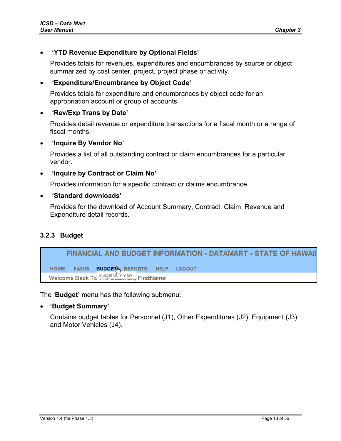### <span id="page-12-0"></span>• **'YTD Revenue Expenditure by Optional Fields'**

Provides totals for revenues, expenditures and encumbrances by source or object summarized by cost center, project, project phase or activity.

### • **'Expenditure/Encumbrance by Object Code'**

Provides totals for expenditure and encumbrances by object code for an appropriation account or group of accounts.

### • **'Rev/Exp Trans by Date'**

Provides detail revenue or expenditure transactions for a fiscal month or a range of fiscal months.

#### • **'Inquire By Vendor No'**

Provides a list of all outstanding contract or claim encumbrances for a particular vendor.

#### • **'Inquire by Contract or Claim No'**

Provides information for a specific contract or claims encumbrance.

#### • **'Standard downloads'**

Provides for the download of Account Summary, Contract, Claim, Revenue and Expenditure detail records.

### **3.2.3 Budget**

#### FINANCIAL AND BUDGET INFORMATION - DATAMART - STATE OF HAWAII HOME FAMIS **BUDGET** REPORTS HELP LOGOUT Welcome Back To Budget Summary FirstName!

The '**Budget'** menu has the following submenu:

#### • **'Budget Summary'**

Contains budget tables for Personnel (J1), Other Expenditures (J2), Equipment (J3) and Motor Vehicles (J4).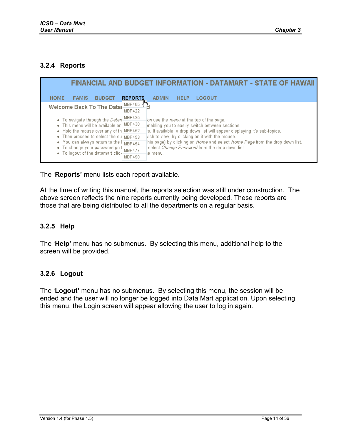### <span id="page-13-0"></span>**3.2.4 Reports**

|                                                                     | FINANCIAL AND BUDGET INFORMATION - DATAMART - STATE OF HAWAII                                               |  |
|---------------------------------------------------------------------|-------------------------------------------------------------------------------------------------------------|--|
| <b>HOME</b><br><b>FAMIS</b><br><b>BUDGET</b>                        | LOGOUT<br><b>ADMIN</b><br><b>HELP</b><br><b>REPORTS</b>                                                     |  |
| Welcome Back To The Datal                                           | MBP405<br>MBP422                                                                                            |  |
| • To navigate through the Datan                                     | MBP425<br>on use the <i>menu</i> at the top of the page.<br>enabling you to easily switch between sections. |  |
| . This menu will be available on MBP430                             |                                                                                                             |  |
| • Hold the mouse over any of the MBP452                             | is. If available, a drop down list will appear displaying it's sub-topics.                                  |  |
| • Then proceed to select the su MBP453                              | vish to view, by clicking on it with the mouse.                                                             |  |
| • You can always return to the (                                    | his page) by clicking on Home and select Home Page from the drop down list.<br>MBP454                       |  |
| • To change your password go f<br>• To logout of the datamart click | select Change Password from the drop down list.<br>MBP477<br>ie menu.                                       |  |
|                                                                     | MBP490                                                                                                      |  |

The '**Reports'** menu lists each report available.

At the time of writing this manual, the reports selection was still under construction. The above screen reflects the nine reports currently being developed. These reports are those that are being distributed to all the departments on a regular basis.

### **3.2.5 Help**

The '**Help'** menu has no submenus. By selecting this menu, additional help to the screen will be provided.

#### **3.2.6 Logout**

The '**Logout'** menu has no submenus. By selecting this menu, the session will be ended and the user will no longer be logged into Data Mart application. Upon selecting this menu, the Login screen will appear allowing the user to log in again.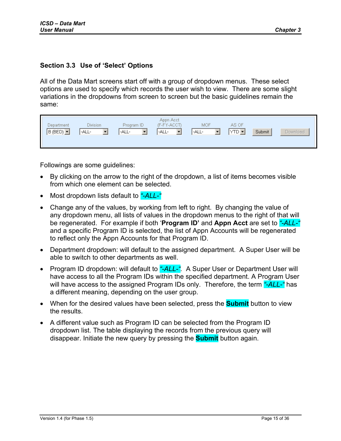### <span id="page-14-0"></span>**Section 3.3 Use of 'Select' Options**

All of the Data Mart screens start off with a group of dropdown menus. These select options are used to specify which records the user wish to view. There are some slight variations in the dropdowns from screen to screen but the basic guidelines remain the same:

| Appn Acct<br><b>Division</b><br>MOF<br>AS OF<br>(F-FY-ACCT)<br>Program ID<br>Department<br>$YTD$ $\blacktriangleright$<br>$ B(BED) $ $\blacktriangleright$<br>Submit<br> -ALL-<br>-ALL-<br>-ALL-<br>-ALL-<br>$\overline{\phantom{0}}$ | <b>Download</b> |
|---------------------------------------------------------------------------------------------------------------------------------------------------------------------------------------------------------------------------------------|-----------------|
|---------------------------------------------------------------------------------------------------------------------------------------------------------------------------------------------------------------------------------------|-----------------|

Followings are some guidelines:

- By clicking on the arrow to the right of the dropdown, a list of items becomes visible from which one element can be selected.
- Most dropdown lists default to *"-ALL-"*
- Change any of the values, by working from left to right. By changing the value of any dropdown menu, all lists of values in the dropdown menus to the right of that will be regenerated. For example if both '**Program ID'** and **Appn Acct** are set to *"-ALL-"* and a specific Program ID is selected, the list of Appn Accounts will be regenerated to reflect only the Appn Accounts for that Program ID.
- Department dropdown: will default to the assigned department. A Super User will be able to switch to other departments as well.
- Program ID dropdown: will default to "-**ALL-".** A Super User or Department User will have access to all the Program IDs within the specified department. A Program User will have access to the assigned Program IDs only. Therefore, the term *"-ALL-"* has a different meaning, depending on the user group.
- When for the desired values have been selected, press the **Submit** button to view the results.
- A different value such as Program ID can be selected from the Program ID dropdown list. The table displaying the records from the previous query will disappear. Initiate the new query by pressing the **Submit** button again.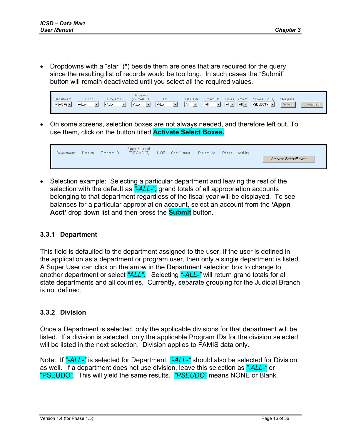<span id="page-15-0"></span>• Dropdowns with a "star" (\*) beside them are ones that are required for the query since the resulting list of records would be too long. In such cases the "Submit" button will remain deactivated until you select all the required values.



• On some screens, selection boxes are not always needed, and therefore left out. To use them, click on the button titled **Activate Select Boxes.**

| Appn Account<br>MOF.<br><b>Division</b><br>Program ID<br>(F-FY-ACCT)<br>Cost Center<br>Project No. Phase Activity<br>Department<br>Activate SelectBoxes |  |
|---------------------------------------------------------------------------------------------------------------------------------------------------------|--|
|---------------------------------------------------------------------------------------------------------------------------------------------------------|--|

• Selection example: Selecting a particular department and leaving the rest of the selection with the default as *"-ALL-",* grand totals of all appropriation accounts belonging to that department regardless of the fiscal year will be displayed. To see balances for a particular appropriation account, select an account from the **'Appn Acct'** drop down list and then press the **Submit** button.

#### **3.3.1 Department**

This field is defaulted to the department assigned to the user. If the user is defined in the application as a department or program user, then only a single department is listed. A Super User can click on the arrow in the Department selection box to change to another department or select *"ALL".* Selecting *"-ALL-"* will return grand totals for all state departments and all counties. Currently, separate grouping for the Judicial Branch is not defined.

#### **3.3.2 Division**

Once a Department is selected, only the applicable divisions for that department will be listed. If a division is selected, only the applicable Program IDs for the division selected will be listed in the next selection. Division applies to FAMIS data only.

Note: If *"-ALL-"* is selected for Department, *"-ALL-"* should also be selected for Division as well. If a department does not use division, leave this selection as *"-ALL-"* or "PSEUDO". This will yield the same results. *"PSEUDO"* means NONE or Blank.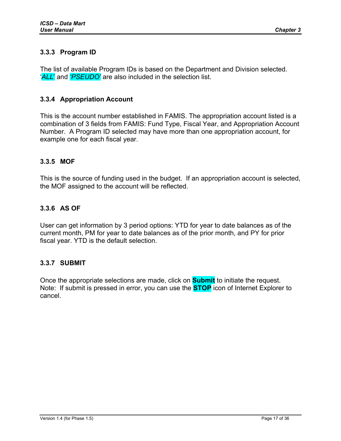## <span id="page-16-0"></span>**3.3.3 Program ID**

The list of available Program IDs is based on the Department and Division selected. '*ALL*' and *'PSEUDO'* are also included in the selection list.

### **3.3.4 Appropriation Account**

This is the account number established in FAMIS. The appropriation account listed is a combination of 3 fields from FAMIS: Fund Type, Fiscal Year, and Appropriation Account Number. A Program ID selected may have more than one appropriation account, for example one for each fiscal year.

### **3.3.5 MOF**

This is the source of funding used in the budget. If an appropriation account is selected, the MOF assigned to the account will be reflected.

### **3.3.6 AS OF**

User can get information by 3 period options: YTD for year to date balances as of the current month, PM for year to date balances as of the prior month, and PY for prior fiscal year. YTD is the default selection.

#### **3.3.7 SUBMIT**

Once the appropriate selections are made, click on **Submit** to initiate the request. Note: If submit is pressed in error, you can use the **STOP** icon of Internet Explorer to cancel.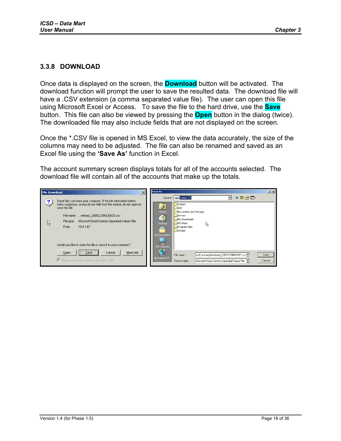#### <span id="page-17-0"></span>**3.3.8 DOWNLOAD**

Once data is displayed on the screen, the **Download** button will be activated. The download function will prompt the user to save the resulted data. The download file will have a .CSV extension (a comma separated value file). The user can open this file using Microsoft Excel or Access. To save the file to the hard drive, use the **Save** button. This file can also be viewed by pressing the **Open** button in the dialog (twice). The downloaded file may also include fields that are not displayed on the screen.

Once the \*.CSV file is opened in MS Excel, to view the data accurately, the size of the columns may need to be adjusted. The file can also be renamed and saved as an Excel file using the **'Save As'** function in Excel.

The account summary screen displays totals for all of the accounts selected. The download file will contain all of the accounts that make up the totals.

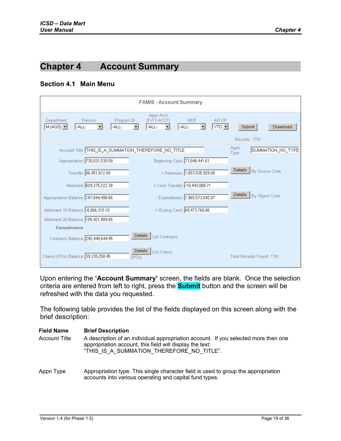# <span id="page-18-0"></span>**Chapter 4 Account Summary**

#### **Section 4.1 Main Menu**

|                                                                                                 | <b>FAMIS - Account Summary</b>                           |                                                         |
|-------------------------------------------------------------------------------------------------|----------------------------------------------------------|---------------------------------------------------------|
| <b>Division</b><br>Program ID<br>Department<br>$M(AdS)$ $\blacktriangleright$<br>-ALL-<br>-ALL- | Appn Acct<br>(F-FY-ACCT)<br><b>MOF</b><br>-ALL-<br>-ALL- | AS OF<br>YTD $\blacktriangledown$<br>Submit<br>Download |
|                                                                                                 |                                                          | Records: 1741                                           |
| Account Title THIS_IS_A_SUMMATION_THEREFORE_NO_TITLE                                            |                                                          | Appn<br>SUMMATION_NO_TYPE<br>Type                       |
| Appropriation 730,031,530.59                                                                    | Beginning Cash 73,048,441.61                             |                                                         |
| Transfer 86,451,612.00                                                                          | + Revenues 1,857,035,928.00                              | Details<br>By Source Code                               |
| Allotment 629,375,222.38                                                                        | + Cash Transfer -10,443,088.71                           |                                                         |
| Appropriation Balance 181,844,496.66                                                            | - Expenditures 1,965,573,042.07                          | Details<br>By Object Code                               |
| Allotment 10 Balance -8,966,315.10                                                              | = Ending Cash 69,473,760.86                              |                                                         |
| Allotment 20 Balance 105,421,809.65                                                             |                                                          |                                                         |
| <b>Encumbrance</b>                                                                              |                                                          |                                                         |
| Contracts Balance 292,440,644.45                                                                | <b>Details</b><br><b>List Contracts</b>                  |                                                         |
| Claims (POs) Balance 39,335,250.45                                                              | Details<br><b>List Claims</b><br>(POs)                   | Total Records Found: 1741                               |

Upon entering the **'Account Summary'** screen, the fields are blank. Once the selection criteria are entered from left to right, press the **Submit** button and the screen will be refreshed with the data you requested.

The following table provides the list of the fields displayed on this screen along with the brief description:

| <b>Field Name</b><br><b>Account Title</b> | <b>Brief Description</b><br>A description of an individual appropriation account. If you selected more then one<br>appropriation account, this field will display the text:<br>"THIS IS A SUMMATION THEREFORE NO TITLE". |
|-------------------------------------------|--------------------------------------------------------------------------------------------------------------------------------------------------------------------------------------------------------------------------|
| Appn Type                                 | Appropriation type. This single character field is used to group the appropriation<br>accounts into various operating and capital fund types.                                                                            |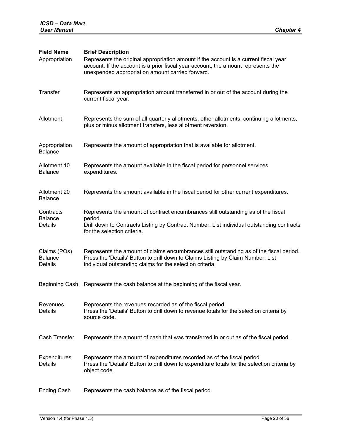| <b>Field Name</b><br>Appropriation               | <b>Brief Description</b><br>Represents the original appropriation amount if the account is a current fiscal year<br>account. If the account is a prior fiscal year account, the amount represents the<br>unexpended appropriation amount carried forward. |
|--------------------------------------------------|-----------------------------------------------------------------------------------------------------------------------------------------------------------------------------------------------------------------------------------------------------------|
| Transfer                                         | Represents an appropriation amount transferred in or out of the account during the<br>current fiscal year.                                                                                                                                                |
| Allotment                                        | Represents the sum of all quarterly allotments, other allotments, continuing allotments,<br>plus or minus allotment transfers, less allotment reversion.                                                                                                  |
| Appropriation<br><b>Balance</b>                  | Represents the amount of appropriation that is available for allotment.                                                                                                                                                                                   |
| Allotment 10<br><b>Balance</b>                   | Represents the amount available in the fiscal period for personnel services<br>expenditures.                                                                                                                                                              |
| Allotment 20<br><b>Balance</b>                   | Represents the amount available in the fiscal period for other current expenditures.                                                                                                                                                                      |
| Contracts<br><b>Balance</b><br>Details           | Represents the amount of contract encumbrances still outstanding as of the fiscal<br>period.<br>Drill down to Contracts Listing by Contract Number. List individual outstanding contracts<br>for the selection criteria.                                  |
| Claims (POs)<br><b>Balance</b><br><b>Details</b> | Represents the amount of claims encumbrances still outstanding as of the fiscal period.<br>Press the 'Details' Button to drill down to Claims Listing by Claim Number. List<br>individual outstanding claims for the selection criteria.                  |
| Beginning Cash                                   | Represents the cash balance at the beginning of the fiscal year.                                                                                                                                                                                          |
| Revenues<br>Details                              | Represents the revenues recorded as of the fiscal period.<br>Press the 'Details' Button to drill down to revenue totals for the selection criteria by<br>source code.                                                                                     |
| Cash Transfer                                    | Represents the amount of cash that was transferred in or out as of the fiscal period.                                                                                                                                                                     |
| Expenditures<br>Details                          | Represents the amount of expenditures recorded as of the fiscal period.<br>Press the 'Details' Button to drill down to expenditure totals for the selection criteria by<br>object code.                                                                   |
| <b>Ending Cash</b>                               | Represents the cash balance as of the fiscal period.                                                                                                                                                                                                      |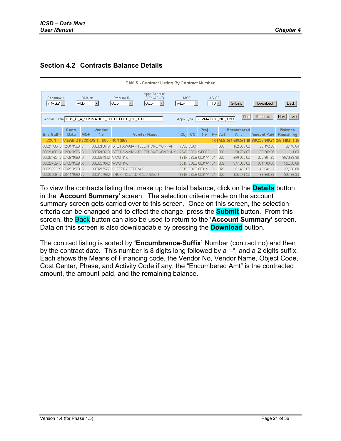### <span id="page-20-0"></span>**Section 4.2 Contracts Balance Details**



To view the contracts listing that make up the total balance, click on the **Details** button in the '**Account Summary**' screen. The selection criteria made on the account summary screen gets carried over to this screen. Once on this screen, the selection criteria can be changed and to effect the change, press the **Submit** button. From this screen, the Back button can also be used to return to the **'Account Summary'** screen. Data on this screen is also downloadable by pressing the **Download** button.

The contract listing is sorted by **'Encumbrance-Suffix'** Number (contract no) and then by the contract date. This number is 8 digits long followed by a "-", and a 2 digits suffix. Each shows the Means of Financing code, the Vendor No, Vendor Name, Object Code, Cost Center, Phase, and Activity Code if any, the "Encumbered Amt" is the contracted amount, the amount paid, and the remaining balance.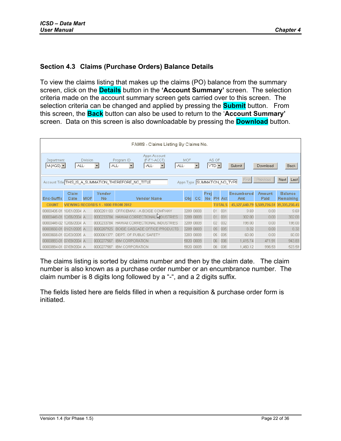### <span id="page-21-0"></span>**Section 4.3 Claims (Purchase Orders) Balance Details**

To view the claims listing that makes up the claims (PO) balance from the summary screen, click on the **Details** button in the **'Account Summary'** screen. The selection criteria made on the account summary screen gets carried over to this screen. The selection criteria can be changed and applied by pressing the **Submit** button. From this screen, the **Back** button can also be used to return to the '**Account Summary'** screen. Data on this screen is also downloadable by pressing the **Download** button.

|                               | FAMIS - Claims Listing By Claims No.                                                                                       |                 |              |                                                                  |       |            |           |                   |                 |               |                            |                       |                             |
|-------------------------------|----------------------------------------------------------------------------------------------------------------------------|-----------------|--------------|------------------------------------------------------------------|-------|------------|-----------|-------------------|-----------------|---------------|----------------------------|-----------------------|-----------------------------|
| Department<br>$M(AGS)$ $\neg$ | -ALL-                                                                                                                      | <b>Division</b> |              | Appn Account<br>Program ID<br>(F-FY-ACCT)<br>-ALL-<br>-ALL-<br>▼ | -ALL- | <b>MOF</b> | ▼         |                   | AS OF<br>¦YTD ▼ |               | Submit                     | Download              | <b>Back</b>                 |
|                               | Previous<br>First<br>Next  <br>Last<br>Appn Type SUMMATION NO TYPE<br>Account Title THIS IS A SUMMATION THEREFORE NO TITLE |                 |              |                                                                  |       |            |           |                   |                 |               |                            |                       |                             |
| Enc-Suffix                    | Claim<br>Date                                                                                                              | <b>MOF</b>      | Vendor<br>No | <b>Vendor Name</b>                                               |       | Obi        | CC.       | Proi<br><b>No</b> |                 | <b>PH</b> Act | <b>Encumbered</b><br>Amt   | <b>Amount</b><br>Paid | <b>Balance</b><br>Remaining |
| <b>COUNT</b>                  |                                                                                                                            |                 |              | <b>FROM 2812</b>                                                 |       |            |           |                   | TOTAL           |               | 45,527,640.79 5,509,726.51 |                       | 39.335.250.45               |
| 00000435-01                   | 10/01/2004 A                                                                                                               |                 | 0000251100   | OFFICEMAX - A BOISE COMPANY                                      |       |            | 3209 000B |                   | $\Box$ 1        | 001           | 9.69                       | 0.00                  | 9.69                        |
| 00000449-01                   | 12/06/2004 A                                                                                                               |                 | 0000233784   | HAWAII CORRECTIONAL NOUSTRIES                                    |       |            | 3209 000B |                   | 01              | 001           | 302.00                     | 0.00                  | 302.00                      |
| 00000449-02 12/06/2004 A      |                                                                                                                            |                 | 0000233784   | HAWAII CORRECTIONAL INDUSTRIES                                   |       | 3209 000B  |           |                   | 02              | 002           | 198.00                     | 0.00                  | 198.00                      |
| 00000660-01 01/21/2005 A      |                                                                                                                            |                 | 0000207925   | BOISE CASCADE OFFICE PRODUCTS                                    |       |            | 3209 000B |                   | 05              | 005           | 8.32                       | 0.00                  | 8.32                        |
| 00000668-01 02/03/2005 A      |                                                                                                                            |                 | 0000061377   | DEPT. OF PUBLIC SAFETY                                           |       |            | 3203 000B |                   | 05              | 005           | 60.00                      | 0.00                  | 60.00                       |
| 00000883-01 07/09/2004 A      |                                                                                                                            |                 | 0000277567   | <b>IBM CORPORATION</b>                                           |       |            | 5820 000B |                   | 06              | 006           | 1,415.74                   | 471.91                | 943.83                      |
| 00000884-01 07/09/2004 A      |                                                                                                                            |                 | 0000277567   | <b>IBM CORPORATION</b>                                           |       | 5820 000B  |           |                   | 06              | 006           | 1,460.12                   | 936.53                | 523.59                      |

The claims listing is sorted by claims number and then by the claim date. The claim number is also known as a purchase order number or an encumbrance number. The claim number is 8 digits long followed by a "-", and a 2 digits suffix.

The fields listed here are fields filled in when a requisition & purchase order form is initiated.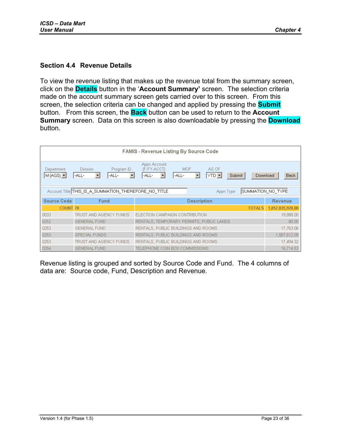### <span id="page-22-0"></span>**Section 4.4 Revenue Details**

To view the revenue listing that makes up the revenue total from the summary screen, click on the **Details** button in the '**Account Summary'** screen. The selection criteria made on the account summary screen gets carried over to this screen. From this screen, the selection criteria can be changed and applied by pressing the **Submit** button. From this screen, the **Back** button can be used to return to the **Account Summary** screen. Data on this screen is also downloadable by pressing the **Download** button.

|                                                                                        | <b>FAMIS - Revenue Listing By Source Code</b>        |                                                             |                                      |        |          |             |  |  |  |  |  |  |  |
|----------------------------------------------------------------------------------------|------------------------------------------------------|-------------------------------------------------------------|--------------------------------------|--------|----------|-------------|--|--|--|--|--|--|--|
| Department<br>$M(AGS)$ $\neg$                                                          | <b>Division</b><br>Program ID<br>-ALL-<br>-ALL-<br>▼ | Appn Account<br>(F-FY-ACCT)<br><b>MOF</b><br>-ALL-<br>-ALL- | AS OF<br>$YTD$ $\blacktriangleright$ | Submit | Download | <b>Back</b> |  |  |  |  |  |  |  |
| SUMMATION_NO_TYPE<br>Account Title THIS IS A SUMMATION THEREFORE NO TITLE<br>Appn Type |                                                      |                                                             |                                      |        |          |             |  |  |  |  |  |  |  |
| <b>Source Code</b>                                                                     | <b>Fund</b>                                          | <b>Description</b>                                          | Revenue                              |        |          |             |  |  |  |  |  |  |  |
| <b>COUNT 70</b>                                                                        |                                                      |                                                             | 1,857,035,928.00                     |        |          |             |  |  |  |  |  |  |  |
| 0033                                                                                   | TRUST AND AGENCY FUNDS                               | ELECTION CAMPAIGN CONTRIBUTION                              |                                      |        |          | 19,888.00   |  |  |  |  |  |  |  |
| 0252                                                                                   | <b>GENERAL FUND</b>                                  | RENTALS, TEMPORARY PERMITS, PUBLIC LANDS                    |                                      | 80.00  |          |             |  |  |  |  |  |  |  |
| 0253                                                                                   | <b>GENERAL FUND</b>                                  | RENTALS, PUBLIC BUILDINGS AND ROOMS                         | 17,763.06                            |        |          |             |  |  |  |  |  |  |  |
| 0253                                                                                   | SPECIAL FUNDS                                        | RENTALS, PUBLIC BUILDINGS AND ROOMS.                        | 1,567,612.09                         |        |          |             |  |  |  |  |  |  |  |
| 0253                                                                                   | TRUST AND AGENCY FUNDS                               | RENTALS, PUBLIC BUILDINGS AND ROOMS.                        | 17,494.32                            |        |          |             |  |  |  |  |  |  |  |
| 0254                                                                                   | <b>GENERAL FUND</b>                                  | TELEPHONE COIN BOX COMMISSIONS                              |                                      |        |          | 16,714.53   |  |  |  |  |  |  |  |

Revenue listing is grouped and sorted by Source Code and Fund. The 4 columns of data are: Source code, Fund, Description and Revenue.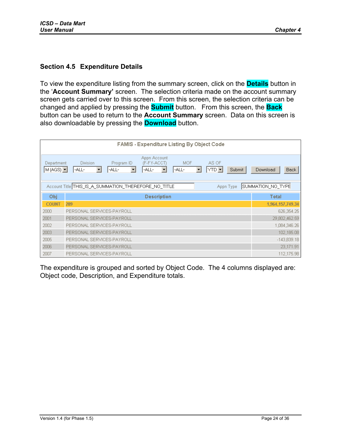### <span id="page-23-0"></span>**Section 4.5 Expenditure Details**

To view the expenditure listing from the summary screen, click on the **Details** button in the '**Account Summary'** screen. The selection criteria made on the account summary screen gets carried over to this screen. From this screen, the selection criteria can be changed and applied by pressing the **Submit** button. From this screen, the **Back** button can be used to return to the **Account Summary** screen. Data on this screen is also downloadable by pressing the **Download** button.

|                               | FAMIS - Expenditure Listing By Object Code                                                                                                                                                           |                         |  |  |  |  |  |  |  |  |  |
|-------------------------------|------------------------------------------------------------------------------------------------------------------------------------------------------------------------------------------------------|-------------------------|--|--|--|--|--|--|--|--|--|
| Department<br>$M(AGS)$ $\neg$ | Appn Account<br><b>MOF</b><br><b>Division</b><br>Program ID<br>(F-FY-ACCT)<br>AS OF<br> YTD ▼<br>-ALL-<br>$\overline{\phantom{a}}$<br>-ALL-<br>-ALL-<br>-ALL-<br>Submit<br>$\blacktriangledown$<br>▼ | Download<br><b>Back</b> |  |  |  |  |  |  |  |  |  |
|                               | Account Title THIS_IS_A_SUMMATION_THEREFORE_NO_TITLE<br>Appn Type                                                                                                                                    | SUMMATION_NO_TYPE       |  |  |  |  |  |  |  |  |  |
| Obj                           | <b>Description</b>                                                                                                                                                                                   | <b>Total</b>            |  |  |  |  |  |  |  |  |  |
| <b>COUNT</b>                  | 289                                                                                                                                                                                                  | 1,964,157,749.34        |  |  |  |  |  |  |  |  |  |
| 2000                          | PERSONAL SERVICES-PAYROLL                                                                                                                                                                            | 626,354.25              |  |  |  |  |  |  |  |  |  |
| 2001                          | PERSONAL SERVICES-PAYROLL                                                                                                                                                                            | 29,802,462.59           |  |  |  |  |  |  |  |  |  |
| 2002                          | PERSONAL SERVICES-PAYROLL                                                                                                                                                                            | 1,084,346.26            |  |  |  |  |  |  |  |  |  |
| 2003                          | PERSONAL SERVICES-PAYROLL                                                                                                                                                                            | 102,185.08              |  |  |  |  |  |  |  |  |  |
| 2005                          | PERSONAL SERVICES-PAYROLL                                                                                                                                                                            | $-143,839.18$           |  |  |  |  |  |  |  |  |  |
| 2006                          | PERSONAL SERVICES-PAYROLL                                                                                                                                                                            | 23,171.91               |  |  |  |  |  |  |  |  |  |
| 2007                          | PERSONAL SERVICES-PAYROLL                                                                                                                                                                            | 112,175.98              |  |  |  |  |  |  |  |  |  |

The expenditure is grouped and sorted by Object Code. The 4 columns displayed are: Object code, Description, and Expenditure totals.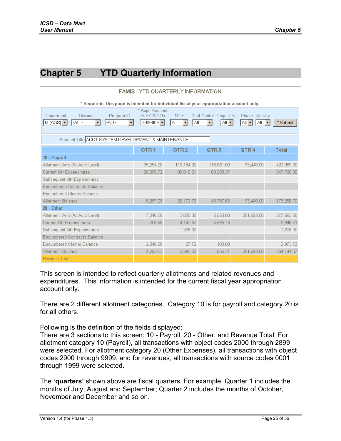# <span id="page-24-0"></span>**Chapter 5 YTD Quarterly Information**

| <b>FAMIS - YTD QUARTERLY INFORMATION</b>                                                                                                                                                                                                                                 |           |             |            |            |            |  |  |  |  |  |  |
|--------------------------------------------------------------------------------------------------------------------------------------------------------------------------------------------------------------------------------------------------------------------------|-----------|-------------|------------|------------|------------|--|--|--|--|--|--|
| * Required: This page is intended for individual fiscal year appropriation account only.                                                                                                                                                                                 |           |             |            |            |            |  |  |  |  |  |  |
| * Appn Account<br><b>MOF</b><br>Department<br><b>Division</b><br>Program ID<br>(F-FY-ACCT)<br>Cost Center Project No. Phase Activity<br>$G-05-009$ $\blacktriangleright$<br>$M(AdS)$ $\neg$<br>-ALL-<br>IA.<br>laii<br>la⊩∙l<br>$All -$<br>*Submit<br>-ALL-<br><b>AI</b> |           |             |            |            |            |  |  |  |  |  |  |
| Account Title ACCT SYSTEM DEVELOPMENT & MAINTENANCE                                                                                                                                                                                                                      |           |             |            |            |            |  |  |  |  |  |  |
| QTR <sub>1</sub><br>QTR <sub>2</sub><br>QTR <sub>3</sub><br>QTR4<br>Total                                                                                                                                                                                                |           |             |            |            |            |  |  |  |  |  |  |
| 10 - Payroll                                                                                                                                                                                                                                                             |           |             |            |            |            |  |  |  |  |  |  |
| Allotment Amt (At Acct Level)                                                                                                                                                                                                                                            | 95,254.00 | 116,184.00  | 118,081.00 | 93,440.00  | 422,959.00 |  |  |  |  |  |  |
| Current Qtr Expenditures                                                                                                                                                                                                                                                 | 88,396.72 | 90.010.21   | 69,293.37  |            | 247,700.30 |  |  |  |  |  |  |
| Subsequent Qtr Expenditures                                                                                                                                                                                                                                              |           |             |            |            |            |  |  |  |  |  |  |
| <b>Encumbered Contracts Balance</b>                                                                                                                                                                                                                                      |           |             |            |            |            |  |  |  |  |  |  |
| <b>Encumbered Claims Balance</b>                                                                                                                                                                                                                                         |           |             |            |            |            |  |  |  |  |  |  |
| <b>Allotment Balance</b>                                                                                                                                                                                                                                                 | 6,857.28  | 26,173.79   | 48,787.63  | 93,440.00  | 175,258.70 |  |  |  |  |  |  |
| <b>20 - Other</b>                                                                                                                                                                                                                                                        |           |             |            |            |            |  |  |  |  |  |  |
| Allotment Amt (At Acct Level)                                                                                                                                                                                                                                            | 7.346.00  | 3,000,00    | 5,553.00   | 261,693.00 | 277,592.00 |  |  |  |  |  |  |
| Current Qtr Expenditures                                                                                                                                                                                                                                                 | 206.98    | 4,142.50    | 4,596.73   |            | 8,946.21   |  |  |  |  |  |  |
| Subsequent Qtr Expenditures                                                                                                                                                                                                                                              |           | 1,228.00    |            |            | 1,228.00   |  |  |  |  |  |  |
| <b>Encumbered Contracts Balance</b>                                                                                                                                                                                                                                      |           |             |            |            |            |  |  |  |  |  |  |
| <b>Encumbered Claims Balance</b>                                                                                                                                                                                                                                         | 2,846.00  | 27.72       | 100.00     |            | 2,973.72   |  |  |  |  |  |  |
| <b>Allotment Balance</b>                                                                                                                                                                                                                                                 | 4,293.02  | $-2,398.22$ | 856.27     | 261,693.00 | 264,444.07 |  |  |  |  |  |  |
| <b>Revenue Total</b>                                                                                                                                                                                                                                                     |           |             |            |            |            |  |  |  |  |  |  |

This screen is intended to reflect quarterly allotments and related revenues and expenditures. This information is intended for the current fiscal year appropriation account only.

There are 2 different allotment categories. Category 10 is for payroll and category 20 is for all others.

Following is the definition of the fields displayed:

There are 3 sections to this screen: 10 - Payroll, 20 - Other, and Revenue Total. For allotment category 10 (Payroll), all transactions with object codes 2000 through 2899 were selected. For allotment category 20 (Other Expenses), all transactions with object codes 2900 through 9999, and for revenues, all transactions with source codes 0001 through 1999 were selected.

The **'quarters'** shown above are fiscal quarters. For example, Quarter 1 includes the months of July, August and September; Quarter 2 includes the months of October, November and December and so on.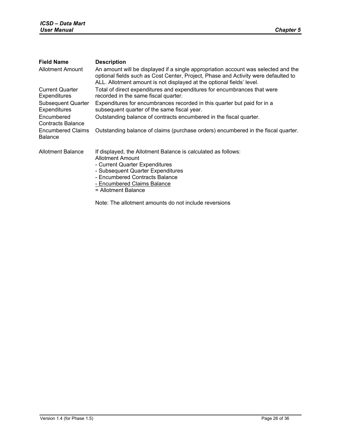| <b>Field Name</b>                          | <b>Description</b>                                                                                                                                                                                                                                |
|--------------------------------------------|---------------------------------------------------------------------------------------------------------------------------------------------------------------------------------------------------------------------------------------------------|
| <b>Allotment Amount</b>                    | An amount will be displayed if a single appropriation account was selected and the<br>optional fields such as Cost Center, Project, Phase and Activity were defaulted to<br>ALL. Allotment amount is not displayed at the optional fields' level. |
| <b>Current Quarter</b><br>Expenditures     | Total of direct expenditures and expenditures for encumbrances that were<br>recorded in the same fiscal quarter.                                                                                                                                  |
| <b>Subsequent Quarter</b><br>Expenditures  | Expenditures for encumbrances recorded in this quarter but paid for in a<br>subsequent quarter of the same fiscal year.                                                                                                                           |
| Encumbered<br><b>Contracts Balance</b>     | Outstanding balance of contracts encumbered in the fiscal quarter.                                                                                                                                                                                |
| <b>Encumbered Claims</b><br><b>Balance</b> | Outstanding balance of claims (purchase orders) encumbered in the fiscal quarter.                                                                                                                                                                 |
| Allotment Balance                          | If displayed, the Allotment Balance is calculated as follows:<br>Allotment Amount<br>- Current Quarter Expenditures<br>- Subsequent Quarter Expenditures<br>- Encumbered Contracts Balance<br>- Encumbered Claims Balance<br>= Allotment Balance  |

Note: The allotment amounts do not include reversions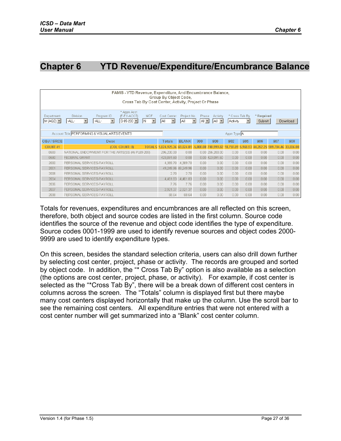# <span id="page-26-0"></span>**Chapter 6 YTD Revenue/Expenditure/Encumbrance Balance**

|                                             | FAMIS - YTD Revenue, Expenditure, And Encumbrance Balance,<br>Group By Object Code,<br>Cross Tab By Cost Center, Activity, Project Or Phase                                                                                                                                                                                                                                                                                              |               |                        |             |                 |         |              |         |                      |      |  |  |  |
|---------------------------------------------|------------------------------------------------------------------------------------------------------------------------------------------------------------------------------------------------------------------------------------------------------------------------------------------------------------------------------------------------------------------------------------------------------------------------------------------|---------------|------------------------|-------------|-----------------|---------|--------------|---------|----------------------|------|--|--|--|
| Department<br>$M(AGS)$ $\blacktriangledown$ | * Appn Acct<br><b>MOF</b><br>Division<br>(F-FY-ACCT)<br>Project No.<br>* Cross Tab By<br>* Required<br>Program ID<br>Cost Center<br>Phase<br>Activity<br>AI -<br>-ALL-<br>$\blacktriangledown$<br>$\mathbf{r}$<br>$S-05-203$ $\blacktriangleright$<br>$\overline{\phantom{a}}$<br>laii<br>$\overline{\phantom{a}}$<br>$\blacktriangledown$<br>All -<br>-ALL-<br>IN.<br>All<br>Activity<br>$\overline{\phantom{a}}$<br>Submit<br>Download |               |                        |             |                 |         |              |         |                      |      |  |  |  |
|                                             | Account Title PERFORMING & VISUAL ARTS EVENTS                                                                                                                                                                                                                                                                                                                                                                                            |               | Appn Type <sup>A</sup> |             |                 |         |              |         |                      |      |  |  |  |
| OBJ / SRCE                                  | Desc.                                                                                                                                                                                                                                                                                                                                                                                                                                    | <b>Totals</b> | <b>BLANK</b>           | 300         | 900             | 902     | 905          | 906     | 907                  | 908  |  |  |  |
| <b>COUNT 41</b>                             | (COL COUNT: 8)<br><b>TOTALS</b>                                                                                                                                                                                                                                                                                                                                                                                                          | .824.925.36   | 69,024.01              | $-5,000.00$ | 748,999.82      | 18.759. | .89 5.968.93 | .352.25 | 909.784.46 33.036.00 |      |  |  |  |
| 0559                                        | NATIONAL ENDOWMENT FOR THE ARTS(SS (H) PL89-209)                                                                                                                                                                                                                                                                                                                                                                                         | 296,200.00    | 0.00                   |             | 0.00 296,200.00 | 0.00    | 0.00         | 0.00    | 0.00                 | 0.00 |  |  |  |
| 0580                                        | <b>FEDERAL GRANT</b>                                                                                                                                                                                                                                                                                                                                                                                                                     | 423,091.60    | 0.00                   |             | 0.00 423,091.60 | 0.00    | 0.00         | 0.00    | 0.00                 | 0.00 |  |  |  |
| 2000                                        | PERSONAL SERVICES-PAYROLL                                                                                                                                                                                                                                                                                                                                                                                                                | 4,369.70      | 4,369.70               | 0.00        | 0.00            | 0.00    | 0.00         | 0.00    | 0.00                 | 0.00 |  |  |  |
| 2001                                        | PERSONAL SERVICES-PAYROLL                                                                                                                                                                                                                                                                                                                                                                                                                | 49,249.96     | 49.249.96              | 0.00        | 0.00            | 0.00    | 0.00         | 0.00    | 0.00                 | 0.00 |  |  |  |
| 2006                                        | PERSONAL SERVICES-PAYROLL                                                                                                                                                                                                                                                                                                                                                                                                                | 2.70          | 2.70                   | 0.00        | 0.00            | 0.00    | 0.00         | 0.00    | 0.00                 | 0.00 |  |  |  |
| 2034                                        | PERSONAL SERVICES-PAYROLL                                                                                                                                                                                                                                                                                                                                                                                                                | 4,461.83      | 4,461.83               | 0.00        | 0.00            | 0.00    | 0.00         | 0.00    | 0.00                 | 0.00 |  |  |  |
| 2036                                        | PERSONAL SERVICES-PAYROLL                                                                                                                                                                                                                                                                                                                                                                                                                | 7.76          | 7.76                   | 0.00        | 0.00            | 0.00    | 0.00         | 0.00    | 0.00                 | 0.00 |  |  |  |
| 2037                                        | PERSONAL SERVICES-PAYROLL                                                                                                                                                                                                                                                                                                                                                                                                                | 2,921.37      | 2,921.37               | 0.00        | 0.00            | 0.00    | 0.00         | 0.00    | 0.00                 | 0.00 |  |  |  |
| 2038                                        | PERSONAL SERVICES-PAYROLL                                                                                                                                                                                                                                                                                                                                                                                                                | 68.64         | 68.64                  | 0.00        | 0.00            | 0.00    | 0.00         | 0.00    | 0.00                 | 0.00 |  |  |  |

Totals for revenues, expenditures and encumbrances are all reflected on this screen, therefore, both object and source codes are listed in the first column. Source code identifies the source of the revenue and object code identifies the type of expenditure. Source codes 0001-1999 are used to identify revenue sources and object codes 2000- 9999 are used to identify expenditure types.

On this screen, besides the standard selection criteria, users can also drill down further by selecting cost center, project, phase or activity. The records are grouped and sorted by object code. In addition, the "\* Cross Tab By" option is also available as a selection (the options are cost center, project, phase, or activity). For example, if cost center is selected as the "\*Cross Tab By", there will be a break down of different cost centers in columns across the screen. The "Totals" column is displayed first but there maybe many cost centers displayed horizontally that make up the column. Use the scroll bar to see the remaining cost centers. All expenditure entries that were not entered with a cost center number will get summarized into a "Blank" cost center column.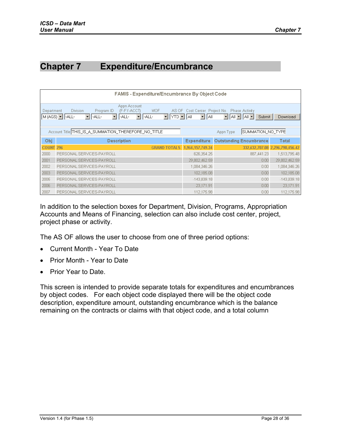# <span id="page-27-0"></span>**Chapter 7 Expenditure/Encumbrance**

|                  | FAMIS - Expenditure/Encumbrance By Object Code                                                                                                                                                                                                                                                                                            |                    |                                |                                 |  |  |  |  |  |  |  |  |
|------------------|-------------------------------------------------------------------------------------------------------------------------------------------------------------------------------------------------------------------------------------------------------------------------------------------------------------------------------------------|--------------------|--------------------------------|---------------------------------|--|--|--|--|--|--|--|--|
|                  | Appn Account<br>AS OF Cost Center Project No.<br><b>Division</b><br>(F-FY-ACCT)<br>Program ID<br><b>MOF</b><br>Phase Activity<br>Department<br>$M(AGS)$ $\blacktriangleright$ -ALL-<br>$\mathbf{F}$ YTD $\mathbf{F}$ All<br>$\overline{\phantom{a}}$<br>$ A   =  A  $<br>-ALL-<br>-ALL-<br>-ALL-<br><b>AI</b><br>−∣<br>Submit<br>Download |                    |                                |                                 |  |  |  |  |  |  |  |  |
|                  | Account Title THIS IS A SUMMATION THEREFORE NO TITLE                                                                                                                                                                                                                                                                                      |                    | SUMMATION NO TYPE<br>Appn Type |                                 |  |  |  |  |  |  |  |  |
| Obj              | <b>Description</b>                                                                                                                                                                                                                                                                                                                        | <b>Expenditure</b> | <b>Outstanding Encumbrance</b> | Total                           |  |  |  |  |  |  |  |  |
| <b>COUNT 296</b> | <b>GRAND TOTALS</b>                                                                                                                                                                                                                                                                                                                       | 1,964,157,749.34   |                                | 332,632,707.08 2,296,790,456.42 |  |  |  |  |  |  |  |  |
| 2000             | PERSONAL SERVICES-PAYROLL                                                                                                                                                                                                                                                                                                                 | 626,354.25         | 887,441.23                     | 1,513,795.48                    |  |  |  |  |  |  |  |  |
| 2001             | PERSONAL SERVICES-PAYROLL                                                                                                                                                                                                                                                                                                                 | 29,802,462.59      | 0.00                           | 29,802,462.59                   |  |  |  |  |  |  |  |  |
| 2002             | PERSONAL SERVICES-PAYROLL                                                                                                                                                                                                                                                                                                                 | 1,084,346.26       | 0.00                           | 1,084,346.26                    |  |  |  |  |  |  |  |  |
| 2003             | PERSONAL SERVICES-PAYROLL                                                                                                                                                                                                                                                                                                                 | 102,185.08         | 0.00                           | 102,185.08                      |  |  |  |  |  |  |  |  |
| 2005             | PERSONAL SERVICES-PAYROLL                                                                                                                                                                                                                                                                                                                 | $-143,839.18$      | 0.00                           | $-143,839.18$                   |  |  |  |  |  |  |  |  |
| 2006             | PERSONAL SERVICES-PAYROLL                                                                                                                                                                                                                                                                                                                 | 23,171.91          | 0.00                           | 23,171.91                       |  |  |  |  |  |  |  |  |
| 2007             | PERSONAL SERVICES-PAYROLL                                                                                                                                                                                                                                                                                                                 | 112.175.98         | 0.00                           | 112.175.98                      |  |  |  |  |  |  |  |  |

In addition to the selection boxes for Department, Division, Programs, Appropriation Accounts and Means of Financing, selection can also include cost center, project, project phase or activity.

The AS OF allows the user to choose from one of three period options:

- Current Month Year To Date
- Prior Month Year to Date
- Prior Year to Date.

This screen is intended to provide separate totals for expenditures and encumbrances by object codes. For each object code displayed there will be the object code description, expenditure amount, outstanding encumbrance which is the balance remaining on the contracts or claims with that object code, and a total column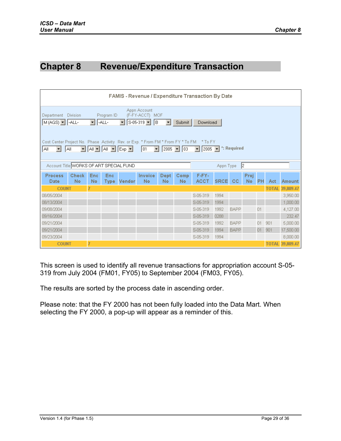# <span id="page-28-0"></span>**Chapter 8 Revenue/Expenditure Transaction**

|                                                                                                                                                                                                                                                                                                                                                                                                                                                                                                                 | FAMIS - Revenue / Expenditure Transaction By Date |                         |            |                    |                             |             |             |                      |             |             |             |                |              |               |
|-----------------------------------------------------------------------------------------------------------------------------------------------------------------------------------------------------------------------------------------------------------------------------------------------------------------------------------------------------------------------------------------------------------------------------------------------------------------------------------------------------------------|---------------------------------------------------|-------------------------|------------|--------------------|-----------------------------|-------------|-------------|----------------------|-------------|-------------|-------------|----------------|--------------|---------------|
| Appn Account<br>Program ID<br><b>Division</b><br>(F-FY-ACCT) MOF<br>Department<br>$S - 05 - 319$ $\blacktriangleright$<br>$M(AGS)$ $\blacksquare$ -ALL-<br>lв<br>-ALL-<br>$\mathbf{r}$<br>$\blacktriangledown$<br>Submit<br><b>Download</b><br>Cost Center Project No. Phase Activity Rev. or Exp. * From FM * From FY * To FM * To FY<br>*: Required<br>Y AIY AI Y Exp Y<br>$2005$ $\sqrt{03}$<br>2005<br>All.<br>01<br>$\blacktriangledown$<br>$\overline{\phantom{0}}$<br>All.<br>$\blacktriangledown$<br>▾╎ |                                                   |                         |            |                    |                             |             |             |                      |             |             |             |                |              |               |
| Account Title WORKS OF ART SPECIAL FUND                                                                                                                                                                                                                                                                                                                                                                                                                                                                         |                                                   |                         |            |                    |                             |             |             | 2 <br>Appn Type      |             |             |             |                |              |               |
| <b>Process</b><br>Date                                                                                                                                                                                                                                                                                                                                                                                                                                                                                          | <b>Check</b><br><b>No</b>                         | <b>Enc</b><br><b>No</b> | <b>Enc</b> | <b>Type Vendor</b> | <b>Invoice</b><br><b>No</b> | Dept.<br>No | Comp.<br>No | F-FY-<br><b>ACCT</b> | <b>SRCE</b> | <b>CC</b>   | Proj<br>No. | P <sub>H</sub> | Act          | <b>Amount</b> |
| <b>COUNT</b>                                                                                                                                                                                                                                                                                                                                                                                                                                                                                                    |                                                   |                         |            |                    |                             |             |             |                      |             |             |             |                | <b>TOTAL</b> | 39,809.47     |
| 08/05/2004                                                                                                                                                                                                                                                                                                                                                                                                                                                                                                      |                                                   |                         |            |                    |                             |             |             | S-05-319             | 1994        |             |             |                |              | 3,950.00      |
| 08/13/2004                                                                                                                                                                                                                                                                                                                                                                                                                                                                                                      |                                                   |                         |            |                    |                             |             |             | S-05-319             | 1994        |             |             |                |              | 1,000.00      |
| 09/08/2004                                                                                                                                                                                                                                                                                                                                                                                                                                                                                                      |                                                   |                         |            |                    |                             |             |             | S-05-319             | 1992        | <b>BAPP</b> |             | Q <sub>1</sub> |              | 4,127.00      |
| 09/16/2004                                                                                                                                                                                                                                                                                                                                                                                                                                                                                                      |                                                   |                         |            |                    |                             |             |             | S-05-319             | 0288        |             |             |                |              | 232.47        |
| 09/21/2004                                                                                                                                                                                                                                                                                                                                                                                                                                                                                                      |                                                   |                         |            |                    |                             |             |             | S-05-319             | 1992        | <b>BAPP</b> |             | 01             | 901          | 5,000.00      |
| 09/21/2004                                                                                                                                                                                                                                                                                                                                                                                                                                                                                                      |                                                   |                         |            |                    |                             |             |             | S-05-319             | 1994        | <b>BAPP</b> |             | $01 -$         | 901          | 17,500.00     |
| S-05-319<br>8,000.00<br>09/23/2004<br>1994                                                                                                                                                                                                                                                                                                                                                                                                                                                                      |                                                   |                         |            |                    |                             |             |             |                      |             |             |             |                |              |               |
|                                                                                                                                                                                                                                                                                                                                                                                                                                                                                                                 | TOTAL 39,809.47<br><b>COUNT</b>                   |                         |            |                    |                             |             |             |                      |             |             |             |                |              |               |

This screen is used to identify all revenue transactions for appropriation account S-05- 319 from July 2004 (FM01, FY05) to September 2004 (FM03, FY05).

The results are sorted by the process date in ascending order.

Please note: that the FY 2000 has not been fully loaded into the Data Mart. When selecting the FY 2000, a pop-up will appear as a reminder of this.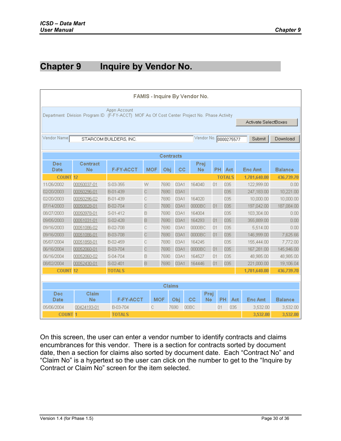# <span id="page-29-0"></span>**Chapter 9 Inquire by Vendor No.**

|                  | FAMIS - Inquire By Vendor No.                                                                                                       |                        |              |            |               |           |                       |     |               |                |                |  |
|------------------|-------------------------------------------------------------------------------------------------------------------------------------|------------------------|--------------|------------|---------------|-----------|-----------------------|-----|---------------|----------------|----------------|--|
|                  | Appn Account<br>Department Division Program ID (F-FY-ACCT) MOF As Of Cost Center Project No. Phase Activity<br>Activate SelectBoxes |                        |              |            |               |           |                       |     |               |                |                |  |
|                  |                                                                                                                                     |                        |              |            |               |           |                       |     |               |                |                |  |
| Vendor Name      |                                                                                                                                     | STARCOM BUILDERS, INC. |              |            |               |           | Vendor No. 0000275577 |     |               | Submit         | Download       |  |
|                  |                                                                                                                                     |                        |              |            |               |           |                       |     |               |                |                |  |
| <b>Contracts</b> |                                                                                                                                     |                        |              |            |               |           |                       |     |               |                |                |  |
| Doc              | Contract                                                                                                                            |                        |              |            |               | Proj      |                       |     |               |                |                |  |
| Date             | <b>No</b>                                                                                                                           | <b>F-FY-ACCT</b>       | <b>MOF</b>   | Obi        | cc            | <b>No</b> |                       | PH. | Act:          | <b>Enc Amt</b> | <b>Balance</b> |  |
| <b>COUNT</b>     | 12                                                                                                                                  |                        |              |            |               |           |                       |     | <b>TOTALS</b> | 1,781,640.00   | 436,739.70     |  |
| 11/26/2002       | 00050037-01                                                                                                                         | S-03-355               | W            | 7690       | 03A1          | 164040    | 01                    |     | 035           | 122,999.00     | 0.00           |  |
| 02/20/2003       | 00050296-01                                                                                                                         | B-01-439               | $\mathbb C$  | 7690       | 03A1          |           |                       |     | 035           | 247,183.00     | 10,221.00      |  |
| 02/20/2003       | 00050296-02                                                                                                                         | B-01-439               | $\mathbb{C}$ | 7690       | 03A1          | 164020    |                       |     | 035           | 10,000.00      | 10,000.00      |  |
| 07/14/2003       | 00050828-01                                                                                                                         | B-02-704               | $\mathbb C$  | 7690       | 03A1          | 0000BC    | 01                    |     | 035           | 197,042.00     | 187,084.00     |  |
| 08/27/2003       | 00050978-01                                                                                                                         | S-01-412               | B            | 7690       | 03A1          | 164004    |                       |     | 035           | 103,304.00     | 0.00           |  |
| 09/05/2003       | 00051031-01                                                                                                                         | S-02-428               | B            | 7690       | 03A1          | 164293    | 01                    |     | 035           | 355,889.00     | 0.00           |  |
| 09/16/2003       | 00051086-02                                                                                                                         | B-02-708               | C            | 7690       | 03A1          | 0000BC    | 01                    |     | 035           | 5,514.00       | 0.00           |  |
| 09/16/2003       | 00051086-01                                                                                                                         | B-03-708               | C            | 7690       | 03A1          | 0000BC    | 01                    |     | 035           | 146,999.00     | 7,625.66       |  |
| 05/07/2004       | 00051858-01                                                                                                                         | B-02-459               | C            | 7690       | 03A1          | 164245    |                       |     | 035           | 155,444.00     | 7,772.00       |  |
| 06/16/2004       | 00052060-01                                                                                                                         | B-03-704               | $\mathbb C$  | 7690       | 03A1          | 0000BC    | 01                    |     | 035           | 167,281.00     | 145,946.00     |  |
| 06/16/2004       | 00052060-02                                                                                                                         | S-04-704               | B            | 7690       | 03A1          | 164527    | 01                    |     | 035           | 48,985.00      | 48,985.00      |  |
| 08/02/2004       | 00052430-01                                                                                                                         | S-02-401               | B            | 7690       | 03A1          | 164446    | 01                    |     | 035           | 221,000.00     | 19,106.04      |  |
| <b>COUNT 12</b>  |                                                                                                                                     | <b>TOTALS</b>          |              |            |               |           |                       |     |               | 1,781,640.00   | 436,739.70     |  |
|                  |                                                                                                                                     |                        |              |            |               |           |                       |     |               |                |                |  |
|                  |                                                                                                                                     |                        |              |            | <b>Claims</b> |           |                       |     |               |                |                |  |
| Doc<br>Date      | Claim<br><b>No</b>                                                                                                                  | F-FY-ACCT              |              | <b>MOF</b> | Obi           | cc        | Proj<br><b>No</b>     | PH  | Act           | <b>Enc Amt</b> | <b>Balance</b> |  |
| 05/06/2004       | 00424193-01                                                                                                                         | B-03-704               | с            |            | 7690          | 00BC      |                       | 01  | 035           | 3,532.00       | 3,532.00       |  |
| <b>COUNT 1</b>   |                                                                                                                                     | <b>TOTALS</b>          |              |            |               |           |                       |     |               | 3.532.00       | 3,532.00       |  |

On this screen, the user can enter a vendor number to identify contracts and claims encumbrances for this vendor. There is a section for contracts sorted by document date, then a section for claims also sorted by document date. Each "Contract No" and "Claim No" is a hypertext so the user can click on the number to get to the "Inquire by Contract or Claim No" screen for the item selected.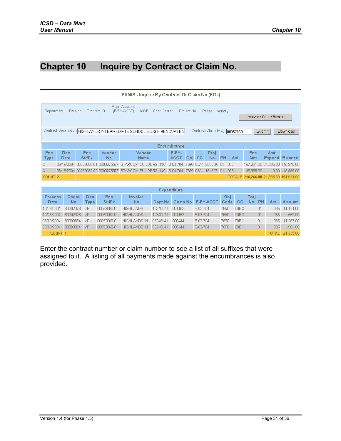# <span id="page-30-0"></span>**Chapter 10 Inquire by Contract or Claim No.**

|                        | FAMIS - Inquire By Contract Or Claim No.(POs)                                                                                                                |                      |                        |                                                     |          |                      |      |           |                  |           |                   |                   |           |                             |                |
|------------------------|--------------------------------------------------------------------------------------------------------------------------------------------------------------|----------------------|------------------------|-----------------------------------------------------|----------|----------------------|------|-----------|------------------|-----------|-------------------|-------------------|-----------|-----------------------------|----------------|
|                        | Appn Account<br>(F-FY-ACCT)<br><b>MOF</b><br>Program ID<br>Cost Center<br>Project No.<br>Phase<br>Activity<br>Department<br>Division<br>Activate SelectBoxes |                      |                        |                                                     |          |                      |      |           |                  |           |                   |                   |           |                             |                |
|                        | Contract/Claim (PO): 00052060<br>Contract Description HIGHLANDS INTERMEDIATE SCHOOL BLDG F RENOVATE S<br>Submit<br>Download                                  |                      |                        |                                                     |          |                      |      |           |                  |           |                   |                   |           |                             |                |
|                        | <b>Encumbrance</b>                                                                                                                                           |                      |                        |                                                     |          |                      |      |           |                  |           |                   |                   |           |                             |                |
| <b>Enc</b><br>Type     | Doc<br>Date                                                                                                                                                  | Enc<br><b>Suffix</b> | Vendor<br>No           | Vendor<br>Name                                      |          | F-FY-<br><b>ACCT</b> | Obi. | <b>CC</b> | Proj<br>No       | <b>PH</b> | Act               | Enc<br>Amt        |           | Amt<br><b>Expend</b>        | <b>Balance</b> |
| С                      | 06/16/2004                                                                                                                                                   | 00052060-01          | 0000275577             | STARCOM BUILDERS, INC.                              |          | B-03-704             | 7690 | 03A1      | 0000BC 01        |           | 035               |                   |           | 167,281.00 21,335.00        | 145,946.00     |
| С                      | 06/16/2004                                                                                                                                                   |                      | 00052060-02 0000275577 | STARCOM BUILDERS, INC. S-04-704 7690 03A1 164527 01 |          |                      |      |           |                  |           | 035               | 48.985.00         |           | 0.00                        | 48,985.00      |
| <b>COUNT 2</b>         |                                                                                                                                                              |                      |                        |                                                     |          |                      |      |           |                  |           |                   |                   |           | TOTALS 216,266.00 21,335.00 | 194,931.00     |
|                        |                                                                                                                                                              |                      |                        |                                                     |          |                      |      |           |                  |           |                   |                   |           |                             |                |
|                        |                                                                                                                                                              |                      |                        |                                                     |          | <b>Expenditure</b>   |      |           |                  |           |                   |                   |           |                             |                |
| <b>Process</b><br>Date | Check<br>No                                                                                                                                                  | Doc.<br><b>Type</b>  | Enc<br><b>Suffix</b>   | Invoice<br>No                                       | Dept No. | Comp No              |      |           | <b>F-FY-ACCT</b> |           | Obj<br>cc<br>Code | Proj<br><b>No</b> | <b>PH</b> | Act                         | Amount         |
| 10/26/2004             | B0002028                                                                                                                                                     | VP                   | 00052060-01            | <b>HIGHLANDS</b>                                    | 10340L71 | 001153               |      | B-03-704  |                  | 7690      | 00BC              |                   | 01        | 035                         | 11,171.00      |
| 10/26/2004             | B0002028                                                                                                                                                     | <b>VP</b>            | 00052060-01            | <b>HIGHLANDS</b>                                    | 10340L71 | 001153               |      | B-03-704  |                  | 7690      | 00BC              |                   | 01        | 035                         | $-559.00$      |
| 08/19/2004             | B0000884                                                                                                                                                     | VP                   | 00052060-01            | <b>HIGHLANDS IN</b>                                 | 08246L41 | 000444               |      | B-03-704  |                  | 7690      | 00BC              |                   | 01        | 035                         | 11,287.00      |
| 08/19/2004             | B0000884<br><b>HIGHLANDS IN</b><br>00BC<br>01<br>035<br>$-564.00$<br><b>VP</b><br>00052060-01<br>08246L41<br>000444<br>B-03-704<br>7690                      |                      |                        |                                                     |          |                      |      |           |                  |           |                   |                   |           |                             |                |
|                        | <b>COUNT 4</b>                                                                                                                                               |                      |                        |                                                     |          |                      |      |           |                  |           |                   |                   |           | <b>TOTAL</b>                | 21.335.00      |

Enter the contract number or claim number to see a list of all suffixes that were assigned to it. A listing of all payments made against the encumbrances is also provided.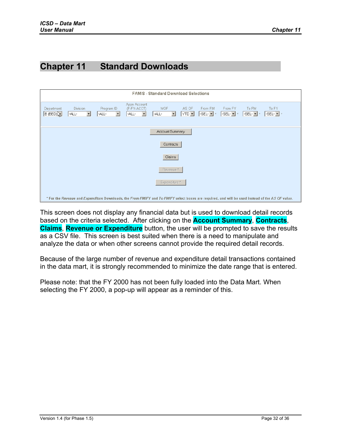# <span id="page-31-0"></span>**Chapter 11 Standard Downloads**

|                                                                                                                                                  | <b>FAMIS - Standard Download Selections</b>      |                                             |                                                                  |                                 |                                      |                                             |                                                  |                                                               |                                              |  |  |
|--------------------------------------------------------------------------------------------------------------------------------------------------|--------------------------------------------------|---------------------------------------------|------------------------------------------------------------------|---------------------------------|--------------------------------------|---------------------------------------------|--------------------------------------------------|---------------------------------------------------------------|----------------------------------------------|--|--|
| Department<br>$5$ (BED)                                                                                                                          | <b>Division</b><br>-ALL-<br>$\blacktriangledown$ | Program ID<br>$\blacktriangledown$<br>-ALL- | Appn Account<br>(F-FY-ACCT)<br>-ALL-<br>$\overline{\phantom{a}}$ | MOF.<br>-ALL-<br>$\blacksquare$ | AS OF<br>$YTD$ $\blacktriangleright$ | From FM<br>$-$ SEL- $\blacktriangleright$ * | From FY<br>$ \text{-SEL-} \blacktriangledown $ * | To FM<br>$-$ SEL- $\blacktriangleright$ $\blacktriangleright$ | To FY<br>$-$ SEL- $\vert \mathbf{v} \vert$ * |  |  |
|                                                                                                                                                  |                                                  |                                             |                                                                  | Account Summary                 |                                      |                                             |                                                  |                                                               |                                              |  |  |
|                                                                                                                                                  | Contracts                                        |                                             |                                                                  |                                 |                                      |                                             |                                                  |                                                               |                                              |  |  |
|                                                                                                                                                  |                                                  |                                             |                                                                  | Claims                          |                                      |                                             |                                                  |                                                               |                                              |  |  |
|                                                                                                                                                  |                                                  |                                             |                                                                  | Revenue*                        |                                      |                                             |                                                  |                                                               |                                              |  |  |
|                                                                                                                                                  |                                                  |                                             |                                                                  | Expenditure*                    |                                      |                                             |                                                  |                                                               |                                              |  |  |
| * For the Revenue and Expenditure Downloads, the From FM/FY and To FM/FY select boxes are required, and will be used instead of the AS OF value. |                                                  |                                             |                                                                  |                                 |                                      |                                             |                                                  |                                                               |                                              |  |  |

This screen does not display any financial data but is used to download detail records based on the criteria selected. After clicking on the **Account Summary**, **Contracts**, **Claims**, **Revenue or Expenditure** button, the user will be prompted to save the results as a CSV file. This screen is best suited when there is a need to manipulate and analyze the data or when other screens cannot provide the required detail records.

Because of the large number of revenue and expenditure detail transactions contained in the data mart, it is strongly recommended to minimize the date range that is entered.

Please note: that the FY 2000 has not been fully loaded into the Data Mart. When selecting the FY 2000, a pop-up will appear as a reminder of this.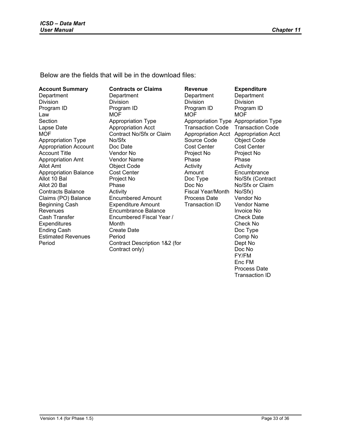Below are the fields that will be in the download files:

**Account Summary Department** Division Program ID Law Section Lapse Date **MOF** Appropriation Type Appropriation Account Account Title Appropriation Amt Allot Amt Appropriation Balance Allot 10 Bal Allot 20 Bal Contracts Balance Claims (PO) Balance Beginning Cash Revenues Cash Transfer **Expenditures** Ending Cash Estimated Revenues Period

**Contracts or Claims Department** Division Program ID **MOF** Appropriation Type Appropriation Acct Contract No/Sfx or Claim No/Sfx Doc Date Vendor No Vendor Name Object Code Cost Center Project No Phase **Activity** Encumbered Amount Expenditure Amount Encumbrance Balance Encumbered Fiscal Year / Month Create Date Period Contract Description 1&2 (for Contract only)

**Revenue Department** Division Program ID **MOF** Appropriation Type Appropriation Type Transaction Code Appropriation Acct Appropriation Acct Source Code Cost Center Project No Phase Activity Amount Doc Type Doc No Fiscal Year/Month Process Date Transaction ID **Expenditure Department** Division Program ID **MOF** Transaction Code Object Code Cost Center Project No Phase Activity **Encumbrance** No/Sfx (Contract No/Sfx or Claim No/Sfx) Vendor No Vendor Name Invoice No Check Date Check No Doc Type Comp No Dept No Doc No FY/FM Enc FM Process Date

Transaction ID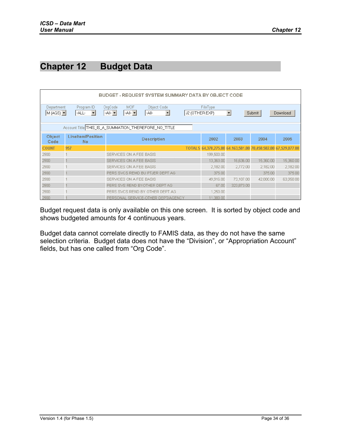# <span id="page-33-0"></span>**Chapter 12 Budget Data**

|                                                                                                                                                                                                                                                                                                       | BUDGET - REQUEST SYSTEM SUMMARY DATA BY OBJECT CODE  |                                    |  |                                                                |            |           |           |  |  |  |  |  |  |
|-------------------------------------------------------------------------------------------------------------------------------------------------------------------------------------------------------------------------------------------------------------------------------------------------------|------------------------------------------------------|------------------------------------|--|----------------------------------------------------------------|------------|-----------|-----------|--|--|--|--|--|--|
| Program ID<br>OrgCode<br><b>MOF</b><br>Object Code<br>Department<br>FileType<br>$-$ All- $\blacktriangleright$<br>$M(AGS)$ $\blacktriangleright$<br>$-$ All- $-$<br>$\vert \cdot \vert$<br>-All-<br>$\blacktriangledown$<br>J2 (OTHER EXP)<br>-ALL-<br>Submit<br>$\vert \mathbf{v} \vert$<br>Download |                                                      |                                    |  |                                                                |            |           |           |  |  |  |  |  |  |
|                                                                                                                                                                                                                                                                                                       | Account Title THIS_IS_A_SUMMATION_THEREFORE_NO_TITLE |                                    |  |                                                                |            |           |           |  |  |  |  |  |  |
| <b>Object</b><br>Code                                                                                                                                                                                                                                                                                 | Lineltem/Position<br><b>No</b>                       | <b>Description</b>                 |  | 2002                                                           | 2003       | 2004      | 2005      |  |  |  |  |  |  |
| <b>COUNT</b>                                                                                                                                                                                                                                                                                          | 957                                                  |                                    |  | TOTALS 64,378,275.00 64,163,581.00 70,458,582.00 67,529,877.00 |            |           |           |  |  |  |  |  |  |
| 2900                                                                                                                                                                                                                                                                                                  |                                                      | SERVICES ON A FEE BASIS            |  | 199,500.00                                                     |            |           |           |  |  |  |  |  |  |
| 2900                                                                                                                                                                                                                                                                                                  |                                                      | SERVICES ON A FEE BASIS            |  | 13,363.00                                                      | 16,636.00  | 15,360.00 | 15,360.00 |  |  |  |  |  |  |
| 2900                                                                                                                                                                                                                                                                                                  |                                                      | SERVICES ON A FEE BASIS            |  | 2,182.00                                                       | 2,772.00   | 2,182.00  | 2,182.00  |  |  |  |  |  |  |
| 2900                                                                                                                                                                                                                                                                                                  |                                                      | PERS SVCS REMD BU PTJER DEPT AG    |  | 375.00                                                         |            | 375.00    | 375.00    |  |  |  |  |  |  |
| 2900                                                                                                                                                                                                                                                                                                  |                                                      | SERVICES ON A FEE BASIS            |  | 49,916.00                                                      | 73,107.00  | 42,000.00 | 63,950.00 |  |  |  |  |  |  |
| 2900                                                                                                                                                                                                                                                                                                  |                                                      | PERS SVS REND BYOTHER DEPT AG      |  | 67.00                                                          | 323,873.00 |           |           |  |  |  |  |  |  |
| 2900                                                                                                                                                                                                                                                                                                  |                                                      | PERS SVCS REND BY OTHER DEPT AG    |  | 1,250.00                                                       |            |           |           |  |  |  |  |  |  |
| 2900                                                                                                                                                                                                                                                                                                  |                                                      | PERSONAL SERVICE-OTHER DEPT/AGENCY |  | 11,380.00                                                      |            |           |           |  |  |  |  |  |  |

Budget request data is only available on this one screen. It is sorted by object code and shows budgeted amounts for 4 continuous years.

Budget data cannot correlate directly to FAMIS data, as they do not have the same selection criteria. Budget data does not have the "Division", or "Appropriation Account" fields, but has one called from "Org Code".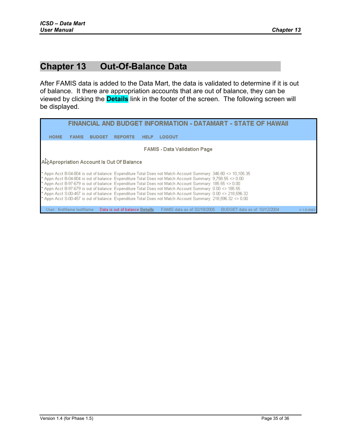# <span id="page-34-0"></span>**Chapter 13 Out-Of-Balance Data**

After FAMIS data is added to the Data Mart, the data is validated to determine if it is out of balance. It there are appropriation accounts that are out of balance, they can be viewed by clicking the **Details** link in the footer of the screen. The following screen will be displayed.

| FINANCIAL AND BUDGET INFORMATION - DATAMART - STATE OF HAWAII                                                                                                                                                                                                                                                                                                                                                                                                                                                                                                                                                                                                                       |              |               |                |             |        |  |                                                             |            |  |
|-------------------------------------------------------------------------------------------------------------------------------------------------------------------------------------------------------------------------------------------------------------------------------------------------------------------------------------------------------------------------------------------------------------------------------------------------------------------------------------------------------------------------------------------------------------------------------------------------------------------------------------------------------------------------------------|--------------|---------------|----------------|-------------|--------|--|-------------------------------------------------------------|------------|--|
| <b>HOME</b>                                                                                                                                                                                                                                                                                                                                                                                                                                                                                                                                                                                                                                                                         | <b>FAMIS</b> | <b>BUDGET</b> | <b>REPORTS</b> | <b>HELP</b> | LOGOUT |  |                                                             |            |  |
| <b>FAMIS - Data Validation Page</b>                                                                                                                                                                                                                                                                                                                                                                                                                                                                                                                                                                                                                                                 |              |               |                |             |        |  |                                                             |            |  |
| AR Apropriation Account Is Out Of Balance                                                                                                                                                                                                                                                                                                                                                                                                                                                                                                                                                                                                                                           |              |               |                |             |        |  |                                                             |            |  |
| * Appn Acct B-04-804 is out of balance: Expenditure Total Does not Match Account Summary: 346.80 <> 10,105.35<br>* Appn Acct B-04-804 is out of balance: Expenditure Total Does not Match Account Summary: 9,758.55 <> 0.00<br>* Appn Acct B-97-679 is out of balance: Expenditure Total Does not Match Account Summary: 185.55 <> 0.00<br>* Appn Acct B-97-679 is out of balance: Expenditure Total Does not Match Account Summary: 0.00 <> 185.55<br>* Appn Acct S-00-457 is out of balance: Expenditure Total Does not Match Account Summary: 0.00 <> 218,596.32<br>* Appn Acct S-00-457 is out of balance: Expenditure Total Does not Match Account Summary: 218,596.32 <> 0.00 |              |               |                |             |        |  |                                                             |            |  |
|                                                                                                                                                                                                                                                                                                                                                                                                                                                                                                                                                                                                                                                                                     |              |               |                |             |        |  | FAMIS data as of: 02/18/2005  BUDGET data as of: 10/12/2004 | V 1.5.0083 |  |